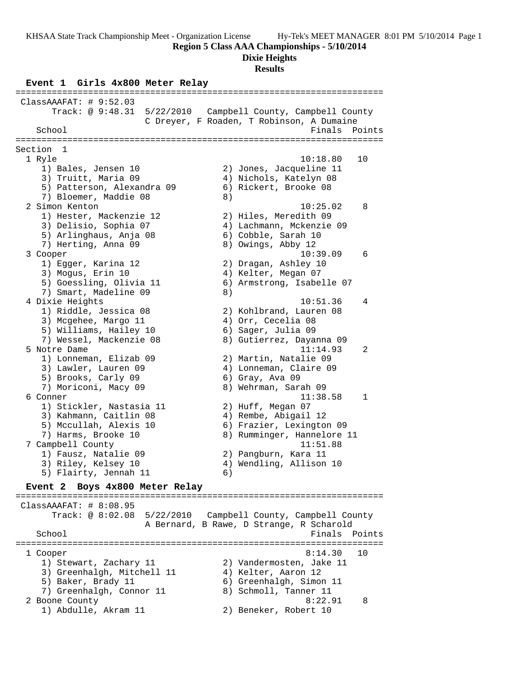**Region 5 Class AAA Championships - 5/10/2014**

### **Dixie Heights**

#### **Results**

**Event 1 Girls 4x800 Meter Relay** ======================================================================= ClassAAAFAT: # 9:52.03 Track: @ 9:48.31 5/22/2010 Campbell County, Campbell County C Dreyer, F Roaden, T Robinson, A Dumaine School **Finals** Points ======================================================================= Section 1 1 Ryle 10:18.80 10 1) Bales, Jensen 10 2) Jones, Jacqueline 11 3) Truitt, Maria 09 4) Nichols, Katelyn 08 5) Patterson, Alexandra 09 6) Rickert, Brooke 08 7) Bloemer, Maddie 08 8) 2 Simon Kenton 10:25.02 8 1) Hester, Mackenzie 12 2) Hiles, Meredith 09 3) Delisio, Sophia 07 4) Lachmann, Mckenzie 09 5) Arlinghaus, Anja 08 6) Cobble, Sarah 10 7) Herting, Anna 09 8) Owings, Abby 12 3 Cooper 10:39.09 6 1) Egger, Karina 12 2) Dragan, Ashley 10 3) Mogus, Erin 10 4) Kelter, Megan 07 5) Goessling, Olivia 11 6) Armstrong, Isabelle 07 7) Smart, Madeline 09 8) 4 Dixie Heights 10:51.36 4 1) Riddle, Jessica 08 2) Kohlbrand, Lauren 08 3) Mcgehee, Margo 11 (4) Orr, Cecelia 08 5) Williams, Hailey 10 6) Sager, Julia 09 7) Wessel, Mackenzie 08 8) Gutierrez, Dayanna 09 5 Notre Dame 11:14.93 2 1) Lonneman, Elizab 09 2) Martin, Natalie 09 3) Lawler, Lauren 09 4) Lonneman, Claire 09 5) Brooks, Carly 09 6) Gray, Ava 09 7) Moriconi, Macy 09 8) Wehrman, Sarah 09 6 Conner 11:38.58 1 1) Stickler, Nastasia 11 (2) Huff, Megan 07 3) Kahmann, Caitlin 08  $\hskip 1.5cm 4$  ) Rembe, Abigail 12 5) Mccullah, Alexis 10 6) Frazier, Lexington 09 7) Harms, Brooke 10 8) Rumminger, Hannelore 11 7 Campbell County 11:51.88 1) Fausz, Natalie 09 2) Pangburn, Kara 11 3) Riley, Kelsey 10 4) Wendling, Allison 10 5) Flairty, Jennah 11 (6) **Event 2 Boys 4x800 Meter Relay** ======================================================================= ClassAAAFAT: # 8:08.95 Track: @ 8:02.08 5/22/2010 Campbell County, Campbell County A Bernard, B Rawe, D Strange, R Scharold School **Finals** Points **Points** ======================================================================= 1 Cooper 8:14.30 10 1) Stewart, Zachary 11 2) Vandermosten, Jake 11 3) Greenhalgh, Mitchell 11 (4) Kelter, Aaron 12 5) Baker, Brady 11 (6) Greenhalgh, Simon 11 7) Greenhalgh, Connor 11 8) Schmoll, Tanner 11 2 Boone County 8:22.91 8 1) Abdulle, Akram 11 2) Beneker, Robert 10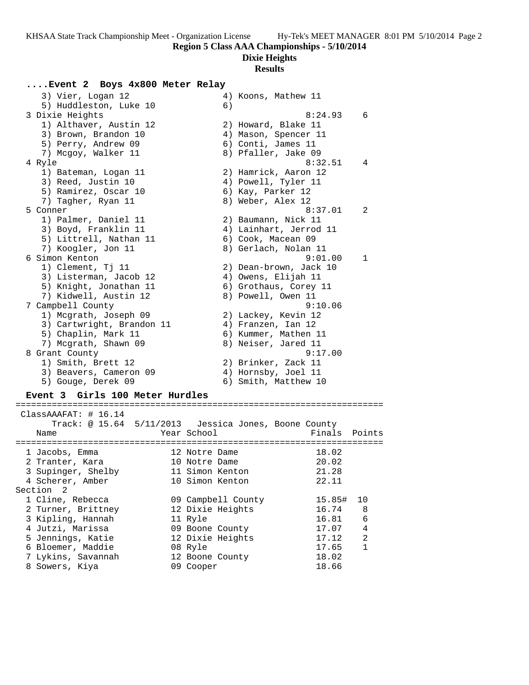# **Dixie Heights**

## **Results**

## **....Event 2 Boys 4x800 Meter Relay**

| 3) Vier, Logan 12         |    | 4) Koons, Mathew 11    |              |
|---------------------------|----|------------------------|--------------|
| 5) Huddleston, Luke 10    | 6) |                        |              |
| 3 Dixie Heights           |    | 8:24.93                | 6            |
| 1) Althaver, Austin 12    |    | 2) Howard, Blake 11    |              |
| 3) Brown, Brandon 10      |    | 4) Mason, Spencer 11   |              |
| 5) Perry, Andrew 09       |    | 6) Conti, James 11     |              |
| 7) Mcgoy, Walker 11       |    | 8) Pfaller, Jake 09    |              |
| 4 Ryle                    |    | 8:32.51                | 4            |
| 1) Bateman, Logan 11      |    | 2) Hamrick, Aaron 12   |              |
| 3) Reed, Justin 10        |    | 4) Powell, Tyler 11    |              |
| 5) Ramirez, Oscar 10      |    | 6) Kay, Parker 12      |              |
| 7) Tagher, Ryan 11        |    | 8) Weber, Alex 12      |              |
| 5 Conner                  |    | 8:37.01                | 2            |
| 1) Palmer, Daniel 11      |    | 2) Baumann, Nick 11    |              |
| 3) Boyd, Franklin 11      |    | 4) Lainhart, Jerrod 11 |              |
| 5) Littrell, Nathan 11    |    | 6) Cook, Macean 09     |              |
| 7) Koogler, Jon 11        |    | 8) Gerlach, Nolan 11   |              |
| 6 Simon Kenton            |    | 9:01.00                | $\mathbf{1}$ |
| 1) Clement, Tj 11         |    | 2) Dean-brown, Jack 10 |              |
| 3) Listerman, Jacob 12    |    | 4) Owens, Elijah 11    |              |
| 5) Knight, Jonathan 11    |    | 6) Grothaus, Corey 11  |              |
| 7) Kidwell, Austin 12     |    | 8) Powell, Owen 11     |              |
| 7 Campbell County         |    | 9:10.06                |              |
| 1) Mcgrath, Joseph 09     |    | 2) Lackey, Kevin 12    |              |
| 3) Cartwright, Brandon 11 |    | 4) Franzen, Ian 12     |              |
| 5) Chaplin, Mark 11       |    | 6) Kummer, Mathen 11   |              |
| 7) Mcgrath, Shawn 09      |    | 8) Neiser, Jared 11    |              |
| 8 Grant County            |    | 9:17.00                |              |
| 1) Smith, Brett 12        |    | 2) Brinker, Zack 11    |              |
| 3) Beavers, Cameron 09    |    | 4) Hornsby, Joel 11    |              |
| 5) Gouge, Derek 09        |    | 6) Smith, Matthew 10   |              |
|                           |    |                        |              |

## **Event 3 Girls 100 Meter Hurdles**

|  | ClassAAAFAT: 4 16.14 |  | Track: @ 15.64 5/11/2013 Jessica Jones, Boone County |        |                |
|--|----------------------|--|------------------------------------------------------|--------|----------------|
|  | Name                 |  | Year School                                          | Finals | Points         |
|  | 1 Jacobs, Emma       |  | 12 Notre Dame                                        | 18.02  |                |
|  | 2 Tranter, Kara      |  | 10 Notre Dame                                        | 20.02  |                |
|  | 3 Supinger, Shelby   |  | 11 Simon Kenton                                      | 21.28  |                |
|  | 4 Scherer, Amber     |  | 10 Simon Kenton                                      | 22.11  |                |
|  | Section 2            |  |                                                      |        |                |
|  | 1 Cline, Rebecca     |  | 09 Campbell County                                   | 15.85# | 10             |
|  | 2 Turner, Brittney   |  | 12 Dixie Heights                                     | 16.74  | 8              |
|  | 3 Kipling, Hannah    |  | 11 Ryle                                              | 16.81  | 6              |
|  | 4 Jutzi, Marissa     |  | 09 Boone County                                      | 17.07  | 4              |
|  | 5 Jennings, Katie    |  | 12 Dixie Heights                                     | 17.12  | $\overline{2}$ |
|  | 6 Bloemer, Maddie    |  | 08 Ryle                                              | 17.65  | $\mathbf{1}$   |
|  | 7 Lykins, Savannah   |  | 12 Boone County                                      | 18.02  |                |
|  | 8 Sowers, Kiya       |  | 09 Cooper                                            | 18.66  |                |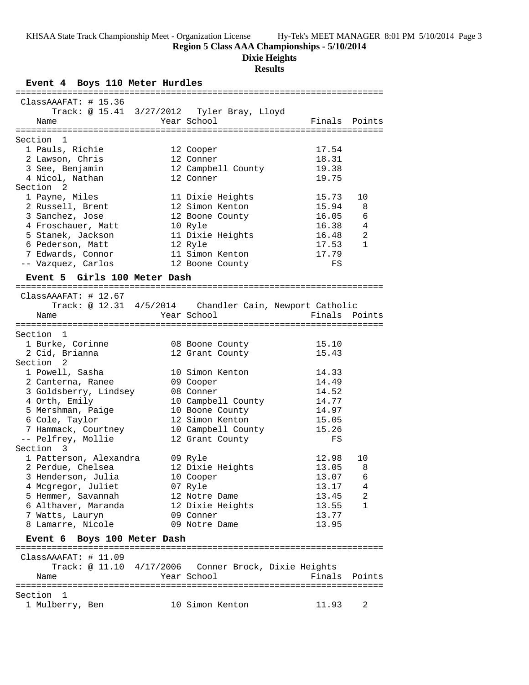**Region 5 Class AAA Championships - 5/10/2014**

**Dixie Heights**

#### **Results**

**Event 4 Boys 110 Meter Hurdles** ======================================================================= ClassAAAFAT: # 15.36 Track: @ 15.41 3/27/2012 Tyler Bray, Lloyd Name Year School Finals Points ======================================================================= Section 1 1 Pauls, Richie 12 Cooper 17.54 2 Lawson, Chris 12 Conner 18.31 3 See, Benjamin 12 Campbell County 19.38 4 Nicol, Nathan 12 Conner 19.75 Section 2 1 Payne, Miles 11 Dixie Heights 15.73 10 2 Russell, Brent 12 Simon Kenton 15.94 8 3 Sanchez, Jose 12 Boone County 16.05 6 4 Froschauer, Matt 10 Ryle 16.38 4 5 Stanek, Jackson 11 Dixie Heights 16.48 2 6 Pederson, Matt 12 Ryle 17.53 1 7 Edwards, Connor 11 Simon Kenton 17.79 -- Vazquez, Carlos 12 Boone County FS **Event 5 Girls 100 Meter Dash** ======================================================================= ClassAAAFAT: # 12.67 Track: @ 12.31 4/5/2014 Chandler Cain, Newport Catholic Name The Year School Team Points Points ======================================================================= Section 1 1 Burke, Corinne 08 Boone County 15.10 2 Cid, Brianna 12 Grant County 15.43 Section 2 1 Powell, Sasha 10 Simon Kenton 14.33 2 Canterna, Ranee 09 Cooper 14.49 3 Goldsberry, Lindsey 08 Conner 14.52 4 Orth, Emily 10 Campbell County 14.77 5 Mershman, Paige 10 Boone County 14.97 6 Cole, Taylor 12 Simon Kenton 15.05 7 Hammack, Courtney 10 Campbell County 15.26 -- Pelfrey, Mollie 12 Grant County FS Section 3 1 Patterson, Alexandra 109 Ryle 12.98 10 2 Perdue, Chelsea 12 Dixie Heights 13.05 8 3 Henderson, Julia 10 Cooper 13.07 6 4 Mcgregor, Juliet 13.17 4 5 Hemmer, Savannah 12 Notre Dame 13.45 2 6 Althaver, Maranda 12 Dixie Heights 13.55 1 7 Watts, Lauryn 09 Conner 13.77 8 Lamarre, Nicole 09 Notre Dame 13.95 **Event 6 Boys 100 Meter Dash** ======================================================================= ClassAAAFAT: # 11.09 Track: @ 11.10 4/17/2006 Conner Brock, Dixie Heights Name Year School Finals Points ======================================================================= Section 1 1 Mulberry, Ben 10 Simon Kenton 11.93 2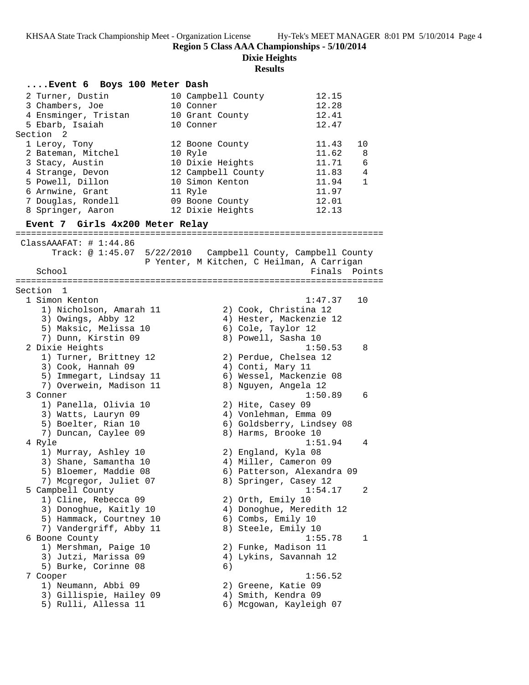### **Dixie Heights**

| Event 6 Boys 100 Meter Dash                   |                                            |             |
|-----------------------------------------------|--------------------------------------------|-------------|
| 2 Turner, Dustin                              | 12.15<br>10 Campbell County                |             |
| 3 Chambers, Joe                               | 12.28<br>10 Conner                         |             |
| 4 Ensminger, Tristan                          | 12.41<br>10 Grant County                   |             |
| 5 Ebarb, Isaiah                               | 12.47<br>10 Conner                         |             |
| Section 2                                     |                                            |             |
| 1 Leroy, Tony                                 | 11.43<br>12 Boone County                   | 10          |
| 2 Bateman, Mitchel                            | 11.62<br>10 Ryle                           | 8           |
| 3 Stacy, Austin                               | 11.71<br>10 Dixie Heights                  | 6           |
| 4 Strange, Devon                              | 12 Campbell County<br>11.83                | 4           |
| 5 Powell, Dillon                              | 10 Simon Kenton<br>11.94                   | $\mathbf 1$ |
| 6 Arnwine, Grant                              | 11 Ryle<br>11.97                           |             |
| 7 Douglas, Rondell                            | 09 Boone County<br>12.01                   |             |
| 8 Springer, Aaron                             | 12 Dixie Heights<br>12.13                  |             |
| Event 7 Girls 4x200 Meter Relay               |                                            |             |
| ClassAAAFAT: # 1:44.86                        |                                            |             |
|                                               |                                            |             |
|                                               | P Yenter, M Kitchen, C Heilman, A Carrigan |             |
| School                                        | Finals Points                              |             |
|                                               |                                            |             |
| Section 1                                     |                                            |             |
| 1 Simon Kenton                                | 1:47.37                                    | 10          |
| 1) Nicholson, Amarah 11                       | 2) Cook, Christina 12                      |             |
| 3) Owings, Abby 12                            | 4) Hester, Mackenzie 12                    |             |
| 5) Maksic, Melissa 10                         | 6) Cole, Taylor 12                         |             |
| 7) Dunn, Kirstin 09                           | 8) Powell, Sasha 10                        |             |
| 2 Dixie Heights                               | 1:50.53                                    | 8           |
| 1) Turner, Brittney 12                        | 2) Perdue, Chelsea 12                      |             |
| 3) Cook, Hannah 09                            | 4) Conti, Mary 11                          |             |
| 5) Immegart, Lindsay 11                       | 6) Wessel, Mackenzie 08                    |             |
| 7) Overwein, Madison 11                       | 8) Nguyen, Angela 12                       |             |
| 3 Conner                                      | 1:50.89                                    | 6           |
| 1) Panella, Olivia 10                         | 2) Hite, Casey 09                          |             |
| 3) Watts, Lauryn 09                           | 4) Vonlehman, Emma 09                      |             |
| 5) Boelter, Rian 10                           | 6) Goldsberry, Lindsey 08                  |             |
| 7) Duncan, Caylee 09                          | 8) Harms, Brooke 10                        |             |
| 4 Ryle                                        | 1:51.94                                    | 4           |
| 1) Murray, Ashley 10                          | 2) England, Kyla 08                        |             |
| 3) Shane, Samantha 10                         | 4) Miller, Cameron 09                      |             |
| 5) Bloemer, Maddie 08                         | 6) Patterson, Alexandra 09                 |             |
| 7) Mcgregor, Juliet 07                        | 8) Springer, Casey 12                      |             |
| 5 Campbell County                             | 1:54.17                                    | 2           |
| 1) Cline, Rebecca 09                          | 2) Orth, Emily 10                          |             |
| 3) Donoghue, Kaitly 10                        | 4) Donoghue, Meredith 12                   |             |
| 5) Hammack, Courtney 10                       | 6) Combs, Emily 10                         |             |
| 7) Vandergriff, Abby 11                       | 8) Steele, Emily 10                        |             |
| 6 Boone County                                | 1:55.78                                    | 1           |
| 1) Mershman, Paige 10<br>3) Jutzi, Marissa 09 | 2) Funke, Madison 11                       |             |
| 5) Burke, Corinne 08                          | 4) Lykins, Savannah 12<br>6)               |             |
|                                               | 1:56.52                                    |             |
| 7 Cooper                                      |                                            |             |
| 1) Neumann, Abbi 09                           | 2) Greene, Katie 09                        |             |
| 3) Gillispie, Hailey 09                       | 4) Smith, Kendra 09                        |             |
| 5) Rulli, Allessa 11                          | 6) Mcgowan, Kayleigh 07                    |             |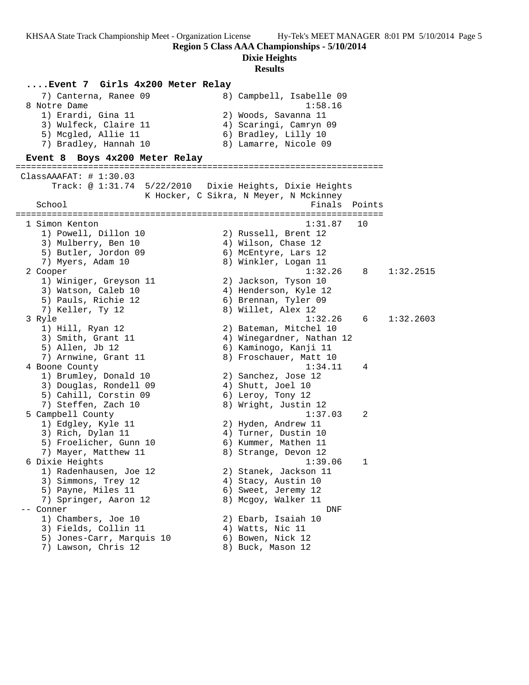**Region 5 Class AAA Championships - 5/10/2014**

**Dixie Heights**

#### **Results**

**....Event 7 Girls 4x200 Meter Relay** 7) Canterna, Ranee 09 8) Campbell, Isabelle 09 8 Notre Dame 1:58.16 1) Erardi, Gina 11 2) Woods, Savanna 11 3) Wulfeck, Claire 11 4) Scaringi, Camryn 09 5) Mcgled, Allie 11 (6) Bradley, Lilly 10 7) Bradley, Hannah 10 8) Lamarre, Nicole 09 **Event 8 Boys 4x200 Meter Relay** ======================================================================= ClassAAAFAT: # 1:30.03 Track: @ 1:31.74 5/22/2010 Dixie Heights, Dixie Heights K Hocker, C Sikra, N Meyer, N Mckinney<br>Finals Finals Points ======================================================================= 1 Simon Kenton 1:31.87 10 1) Powell, Dillon 10 2) Russell, Brent 12 3) Mulberry, Ben 10 (4) 4) Wilson, Chase 12 5) Butler, Jordon 09 6) McEntyre, Lars 12 7) Myers, Adam 10 8) Winkler, Logan 11 2 Cooper 1:32.26 8 1:32.2515 1) Winiger, Greyson 11 2) Jackson, Tyson 10 3) Watson, Caleb 10 4) Henderson, Kyle 12 5) Pauls, Richie 12 6) Brennan, Tyler 09 7) Keller, Ty 12 8) Willet, Alex 12 3 Ryle 1:32.26 6 1:32.2603 1) Hill, Ryan 12 2) Bateman, Mitchel 10 3) Smith, Grant 11 4) Winegardner, Nathan 12 5) Allen, Jb 12 6) Kaminogo, Kanji 11 7) Arnwine, Grant 11 8) Froschauer, Matt 10 4 Boone County 1:34.11 4 1) Brumley, Donald 10 2) Sanchez, Jose 12 3) Douglas, Rondell 09 (4) Shutt, Joel 10 5) Cahill, Corstin 09 6) Leroy, Tony 12 7) Steffen, Zach 10 8) Wright, Justin 12 5 Campbell County 1:37.03 2 1) Edgley, Kyle 11 2) Hyden, Andrew 11 3) Rich, Dylan 11 4) Turner, Dustin 10 5) Froelicher, Gunn 10 6) Kummer, Mathen 11 7) Mayer, Matthew 11  $\hphantom{\text{2.25}}$  8) Strange, Devon 12 6 Dixie Heights 1:39.06 1 1) Radenhausen, Joe 12 2) Stanek, Jackson 11 3) Simmons, Trey 12 (4) Stacy, Austin 10 5) Payne, Miles 11 6) Sweet, Jeremy 12 7) Springer, Aaron 12 8) Mcgoy, Walker 11 -- Conner DNF 1) Chambers, Joe 10 2) Ebarb, Isaiah 10 3) Fields, Collin 11 4) Watts, Nic 11 5) Jones-Carr, Marquis 10 6) Bowen, Nick 12 7) Lawson, Chris 12 8) Buck, Mason 12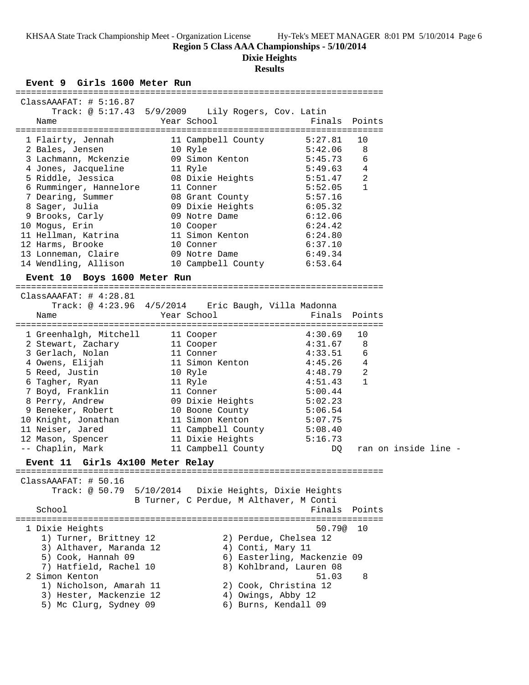**Region 5 Class AAA Championships - 5/10/2014**

### **Dixie Heights**

# **Results**

**Event 9 Girls 1600 Meter Run**

| ATLIR TOOD WACAL KAN                                                          |                                                      |                                   |                                                                   |                                |                      |  |
|-------------------------------------------------------------------------------|------------------------------------------------------|-----------------------------------|-------------------------------------------------------------------|--------------------------------|----------------------|--|
| ClassAAAFAT: # 5:16.87                                                        |                                                      |                                   |                                                                   |                                |                      |  |
| Track: @ 5:17.43 5/9/2009 Lily Rogers, Cov. Latin<br>Name                     | Year School                                          |                                   | Finals                                                            | Points                         |                      |  |
| 1 Flairty, Jennah<br>2 Bales, Jensen                                          |                                                      |                                   | 11 Campbell County 5:27.81<br>10 Ryle 5:42.06                     | 10<br>8                        |                      |  |
| 3 Lachmann, Mckenzie<br>4 Jones, Jacqueline                                   | 09 Simon Kenton<br>11 Ryle                           |                                   | 5:45.73<br>$5:49.63$ 4                                            | 6                              |                      |  |
| 5 Riddle, Jessica<br>6 Rumminger, Hannelore                                   | 11 Conner                                            |                                   | 08 Dixie Heights 5:51.47<br>5:52.05                               | $\overline{2}$<br>$\mathbf{1}$ |                      |  |
| 7 Dearing, Summer<br>8 Sager, Julia                                           | 08 Grant County<br>09 Dixie Heights                  | 09 Dixie Heights<br>09 Notre Dame | 5:57.16<br>6:05.32                                                |                                |                      |  |
| 9 Brooks, Carly<br>10 Mogus, Erin                                             | 10 Cooper                                            |                                   | 6:12.06<br>6:24.42                                                |                                |                      |  |
| 11 Hellman, Katrina<br>12 Harms, Brooke<br>13 Lonneman, Claire                | 10 Conner<br>09 Notre Dame                           |                                   | 11 Simon Kenton 6:24.80<br>6:37.10<br>6:49.34                     |                                |                      |  |
| 14 Wendling, Allison                                                          |                                                      |                                   | 10 Campbell County 6:53.64                                        |                                |                      |  |
| Event 10 Boys 1600 Meter Run                                                  |                                                      |                                   |                                                                   |                                |                      |  |
| ClassAAAFAT: # 4:28.81<br>Track: @ 4:23.96 4/5/2014 Eric Baugh, Villa Madonna |                                                      |                                   |                                                                   |                                |                      |  |
| Name                                                                          | Year School                                          |                                   |                                                                   | Finals Points                  |                      |  |
| 1 Greenhalgh, Mitchell 11 Cooper 4:30.69<br>2 Stewart, Zachary 11 Cooper      |                                                      |                                   | 4:31.67                                                           | 10<br>8                        |                      |  |
| 3 Gerlach, Nolan                                                              | 11 Conner                                            |                                   | 4:33.51                                                           | 6                              |                      |  |
| 4 Owens, Elijah<br>5 Reed, Justin                                             | 11 Simon Kenton<br>10 Pri                            |                                   | $4:45.26$ 4<br>4:48.79                                            | $\overline{2}$                 |                      |  |
| 6 Tagher, Ryan                                                                | 10 Ryle<br>11 Ryle                                   |                                   | 4:51.43                                                           | $\mathbf 1$                    |                      |  |
| 7 Boyd, Franklin                                                              | 11 Conner                                            |                                   | 5:00.44                                                           |                                |                      |  |
| 8 Perry, Andrew                                                               | 09 Dixie Heights 5:02.23                             |                                   |                                                                   |                                |                      |  |
| 9 Beneker, Robert                                                             | 10 Boone County                                      |                                   | 5:06.54                                                           |                                |                      |  |
| 10 Knight, Jonathan<br>11 Maiser, Jared                                       | 11 Simon Kenton                                      |                                   | 5:07.75                                                           |                                |                      |  |
| 11 Neiser, Jared                                                              |                                                      |                                   | 5:08.40<br>11 Campbell County 5:08.40<br>11 Dixie Heights 5:16.73 |                                |                      |  |
| 12 Mason, Spencer<br>-- Chaplin, Mark                                         |                                                      |                                   | 11 Campbell County<br>DQ                                          |                                | ran on inside line - |  |
| Event 11 Girls 4x100 Meter Relay                                              |                                                      |                                   | --------------------------------                                  |                                |                      |  |
| ClassAAAFAT: # 50.16                                                          |                                                      |                                   |                                                                   |                                |                      |  |
| Track: @ 50.79                                                                | 5/10/2014<br>B Turner, C Perdue, M Althaver, M Conti |                                   | Dixie Heights, Dixie Heights                                      |                                |                      |  |
| School                                                                        |                                                      |                                   | Finals                                                            | Points                         |                      |  |
| 1 Dixie Heights<br>1) Turner, Brittney 12                                     |                                                      |                                   | 50.79@<br>2) Perdue, Chelsea 12                                   | 10                             |                      |  |
| 3) Althaver, Maranda 12<br>5) Cook, Hannah 09                                 |                                                      | 4) Conti, Mary 11                 | 6) Easterling, Mackenzie 09                                       |                                |                      |  |
| 7) Hatfield, Rachel 10<br>2 Simon Kenton                                      |                                                      |                                   | 8) Kohlbrand, Lauren 08                                           |                                |                      |  |
| 1) Nicholson, Amarah 11                                                       |                                                      |                                   | 51.03<br>2) Cook, Christina 12                                    | 8                              |                      |  |
| 3) Hester, Mackenzie 12<br>5) Mc Clurg, Sydney 09                             |                                                      | 4) Owings, Abby 12                | 6) Burns, Kendall 09                                              |                                |                      |  |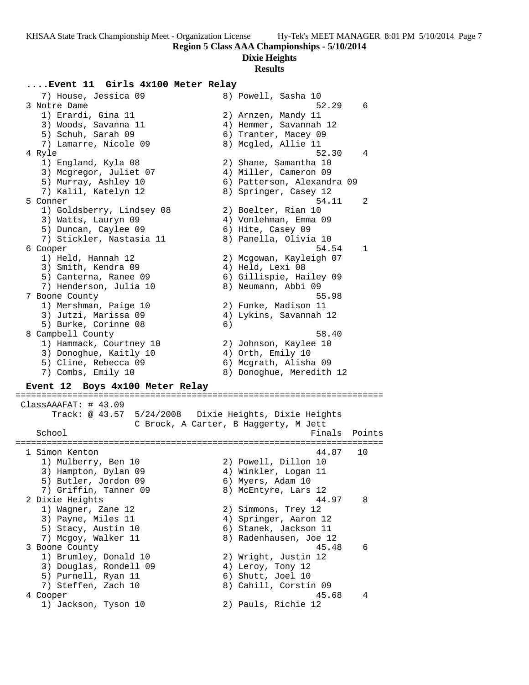### **Dixie Heights**

#### **Results**

### **....Event 11 Girls 4x100 Meter Relay**

7) House, Jessica 09 8) Powell, Sasha 10<br>3 Notre Dame 52.29 6 3 Notre Dame 52.29 6 1) Erardi, Gina 11 2) Arnzen, Mandy 11 3) Woods, Savanna 11 4) Hemmer, Savannah 12 5) Schuh, Sarah 09 6) Tranter, Macey 09 7) Lamarre, Nicole 09 8) Mcgled, Allie 11 4 Ryle 52.30 4 1) England, Kyla 08 2) Shane, Samantha 10 3) Mcgregor, Juliet 07 4) Miller, Cameron 09 5) Murray, Ashley 10 6) Patterson, Alexandra 09 7) Kalil, Katelyn 12 8) Springer, Casey 12 5 Conner 54.11 2 1) Goldsberry, Lindsey 08 2) Boelter, Rian 10 3) Watts, Lauryn 09 4) Vonlehman, Emma 09 5) Duncan, Caylee 09 6) Hite, Casey 09 7) Stickler, Nastasia 11 8) Panella, Olivia 10 6 Cooper 54.54 1 1) Held, Hannah 12 2) Mcgowan, Kayleigh 07 3) Smith, Kendra 09 (4) Held, Lexi 08 5) Canterna, Ranee 09 6) Gillispie, Hailey 09 7) Henderson, Julia 10  $\hskip1cm 8$ ) Neumann, Abbi 09 7 Boone County 55.98 1) Mershman, Paige 10 2) Funke, Madison 11 3) Jutzi, Marissa 09 4) Lykins, Savannah 12 5) Burke, Corinne 08 6) 8 Campbell County 58.40 1) Hammack, Courtney 10 2) Johnson, Kaylee 10 3) Donoghue, Kaitly 10  $\hskip1cm$  4) Orth, Emily 10 5) Cline, Rebecca 09 6) Mcgrath, Alisha 09 7) Combs, Emily 10 8) Donoghue, Meredith 12 **Event 12 Boys 4x100 Meter Relay** ======================================================================= ClassAAAFAT: # 43.09 Track: @ 43.57 5/24/2008 Dixie Heights, Dixie Heights C Brock, A Carter, B Haggerty, M Jett<br>Fina Finals Points ======================================================================= 1 Simon Kenton 44.87 10 1) Mulberry, Ben 10 2) Powell, Dillon 10 3) Hampton, Dylan 09 (4) Winkler, Logan 11 5) Butler, Jordon 09 6) Myers, Adam 10 7) Griffin, Tanner 09 8) McEntyre, Lars 12 2 Dixie Heights 44.97 8 1) Wagner, Zane 12 2) Simmons, Trey 12 3) Payne, Miles 11 4) Springer, Aaron 12 5) Stacy, Austin 10 6) Stanek, Jackson 11 7) Mcgoy, Walker 11 8) Radenhausen, Joe 12 3 Boone County 45.48 6 1) Brumley, Donald 10 2) Wright, Justin 12 3) Douglas, Rondell 09 (4) Leroy, Tony 12 5) Purnell, Ryan 11 6) Shutt, Joel 10 7) Steffen, Zach 10 8) Cahill, Corstin 09 4 Cooper 45.68 4 1) Jackson, Tyson 10 2) Pauls, Richie 12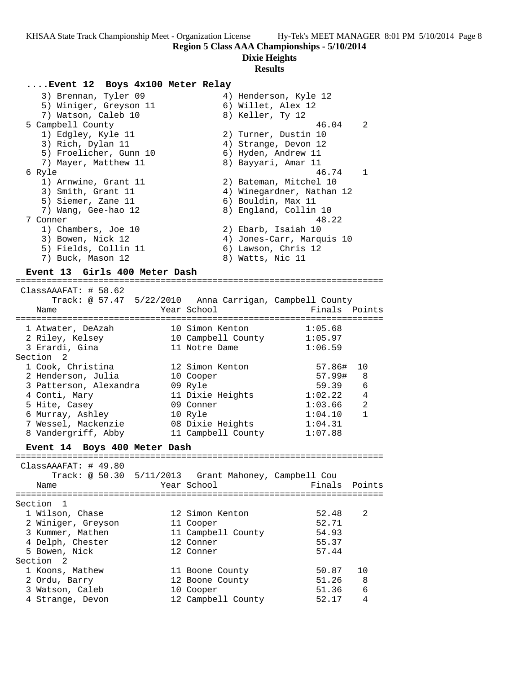#### **Dixie Heights**

#### **Results**

#### **....Event 12 Boys 4x100 Meter Relay**

| 3) Brennan, Tyler 09   | 4) Henderson, Kyle 12     |
|------------------------|---------------------------|
| 5) Winiger, Greyson 11 | 6) Willet, Alex 12        |
| 7) Watson, Caleb 10    | 8) Keller, Ty 12          |
| 5 Campbell County      | $\overline{2}$<br>46.04   |
| 1) Edgley, Kyle 11     | 2) Turner, Dustin 10      |
| 3) Rich, Dylan 11      | 4) Strange, Devon 12      |
| 5) Froelicher, Gunn 10 | 6) Hyden, Andrew 11       |
| 7) Mayer, Matthew 11   | 8) Bayyari, Amar 11       |
| 6 Ryle                 | 46.74<br>$\overline{1}$   |
| 1) Arnwine, Grant 11   | 2) Bateman, Mitchel 10    |
| 3) Smith, Grant 11     | 4) Winegardner, Nathan 12 |
| 5) Siemer, Zane 11     | 6) Bouldin, Max 11        |
|                        |                           |
| 7) Wang, Gee-hao 12    | 8) England, Collin 10     |
| 7 Conner               | 48.22                     |
| 1) Chambers, Joe 10    | 2) Ebarb, Isaiah 10       |
| 3) Bowen, Nick 12      | 4) Jones-Carr, Marquis 10 |
| 5) Fields, Collin 11   | 6) Lawson, Chris 12       |

### **Event 13 Girls 400 Meter Dash**

======================================================================= ClassAAAFAT: # 58.62 Track: @ 57.47 5/22/2010 Anna Carrigan, Campbell County Name Year School Finals Points ======================================================================= 1 Atwater, DeAzah 10 Simon Kenton 1:05.68 2 Riley, Kelsey 10 Campbell County 1:05.97 3 Erardi, Gina 11 Notre Dame 1:06.59 Section 2 1 Cook, Christina 12 Simon Kenton 57.86# 10 2 Henderson, Julia 10 Cooper 57.99# 8 3 Patterson, Alexandra 09 Ryle 59.39 6 4 Conti, Mary 11 Dixie Heights 1:02.22 4 5 Hite, Casey 09 Conner 1:03.66 2 6 Murray, Ashley 10 Ryle 1:04.10 1 7 Wessel, Mackenzie 08 Dixie Heights 1:04.31 8 Vandergriff, Abby 11 Campbell County 1:07.88

### **Event 14 Boys 400 Meter Dash**

| ClassAAAFAT: 49.80<br>Name | Track: @ 50.30 5/11/2013 Grant Mahoney, Campbell Cou<br>Year School | Finals Points |     |
|----------------------------|---------------------------------------------------------------------|---------------|-----|
| Section 1                  |                                                                     |               |     |
| 1 Wilson, Chase            | 12 Simon Kenton                                                     | 52.48         | 2   |
| 2 Winiger, Greyson         | 11 Cooper                                                           | 52.71         |     |
| 3 Kummer, Mathen           | 11 Campbell County                                                  | 54.93         |     |
| 4 Delph, Chester           | 12 Conner                                                           | 55.37         |     |
| 5 Bowen, Nick              | 12 Conner                                                           | 57.44         |     |
| Section 2                  |                                                                     |               |     |
| 1 Koons, Mathew            | 11 Boone County                                                     | 50.87         | 1 O |
| 2 Ordu, Barry              | 12 Boone County                                                     | 51.26         | 8   |
| 3 Watson, Caleb            | 10 Cooper                                                           | 51.36         | 6   |
| 4 Strange, Devon           | 12 Campbell County                                                  | 52.17         | 4   |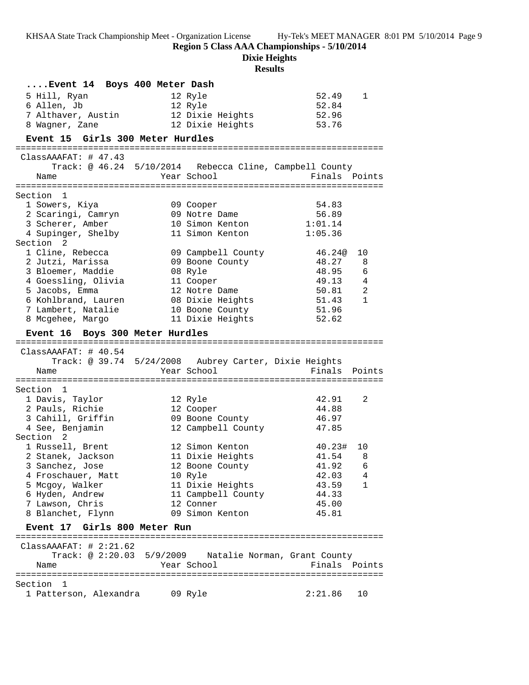**Region 5 Class AAA Championships - 5/10/2014**

**Dixie Heights**

| Event 14 Boys 400 Meter Dash             |                                                         |               |                |
|------------------------------------------|---------------------------------------------------------|---------------|----------------|
| 5 Hill, Ryan                             | 12 Ryle                                                 | 52.49         | 1              |
| 6 Allen, Jb                              | 12 Ryle                                                 | 52.84         |                |
| 7 Althaver, Austin                       | 12 Dixie Heights                                        | 52.96         |                |
| 8 Wagner, Zane                           | 12 Dixie Heights                                        | 53.76         |                |
| Event 15 Girls 300 Meter Hurdles         |                                                         |               |                |
| ClassAAAFAT: 47.43                       |                                                         |               |                |
|                                          | Track: @ 46.24 5/10/2014 Rebecca Cline, Campbell County |               |                |
| Name                                     | Year School                                             | Finals Points |                |
|                                          |                                                         |               |                |
| Section<br>1                             |                                                         |               |                |
| 1 Sowers, Kiya                           | 09 Cooper                                               | 54.83         |                |
| 2 Scaringi, Camryn                       | 09 Notre Dame                                           | 56.89         |                |
| 3 Scherer, Amber                         | 10 Simon Kenton                                         | 1:01.14       |                |
| 4 Supinger, Shelby                       | 11 Simon Kenton                                         | 1:05.36       |                |
| Section 2                                |                                                         |               |                |
| 1 Cline, Rebecca                         | 09 Campbell County                                      | 46.24@        | 10             |
| 2 Jutzi, Marissa                         | 09 Boone County                                         | 48.27         | 8              |
| 3 Bloemer, Maddie                        | 08 Ryle                                                 | 48.95         | 6              |
| 4 Goessling, Olivia                      | 11 Cooper                                               | 49.13         | $\overline{4}$ |
| 5 Jacobs, Emma                           | 12 Notre Dame                                           | 50.81         | $\overline{a}$ |
| 6 Kohlbrand, Lauren                      | 08 Dixie Heights                                        | 51.43         | 1              |
| 7 Lambert, Natalie                       | 10 Boone County                                         | 51.96         |                |
| 8 Mcgehee, Margo                         | 11 Dixie Heights                                        | 52.62         |                |
| Event 16 Boys 300 Meter Hurdles          |                                                         |               |                |
|                                          |                                                         |               |                |
|                                          |                                                         |               |                |
| ClassAAAFAT: 40.54                       |                                                         |               |                |
|                                          | Track: @ 39.74 5/24/2008 Aubrey Carter, Dixie Heights   |               |                |
| Name                                     | Year School                                             | Finals        | Points         |
| Section 1                                |                                                         |               |                |
| 1 Davis, Taylor                          | 12 Ryle                                                 | 42.91         | 2              |
| 2 Pauls, Richie                          | 12 Cooper                                               | 44.88         |                |
| 3 Cahill, Griffin 69 Boone County        |                                                         | 46.97         |                |
| 4 See, Benjamin                          | 12 Campbell County                                      | 47.85         |                |
|                                          |                                                         |               |                |
| Section <sub>2</sub><br>1 Russell, Brent | 12 Simon Kenton                                         | 40.23#        | 10             |
| 2 Stanek, Jackson                        | 11 Dixie Heights                                        | 41.54         | 8              |
| 3 Sanchez, Jose                          | 12 Boone County                                         | 41.92 6       |                |
| 4 Froschauer, Matt                       | 10 Ryle                                                 | 42.03         | 4              |
| 5 Mcgoy, Walker                          | 11 Dixie Heights                                        | 43.59         | 1              |
| 6 Hyden, Andrew                          | 11 Campbell County                                      | 44.33         |                |
| 7 Lawson, Chris                          | 12 Conner                                               | 45.00         |                |
| 8 Blanchet, Flynn                        | 09 Simon Kenton                                         | 45.81         |                |
| Event 17 Girls 800 Meter Run             |                                                         |               |                |
|                                          |                                                         |               |                |
| ClassAAAFAT: 42:21.62                    |                                                         |               |                |
|                                          | Track: @ 2:20.03 5/9/2009 Natalie Norman, Grant County  |               |                |
| Name                                     | Year School                                             | Finals Points |                |
| Section<br>ı                             |                                                         |               |                |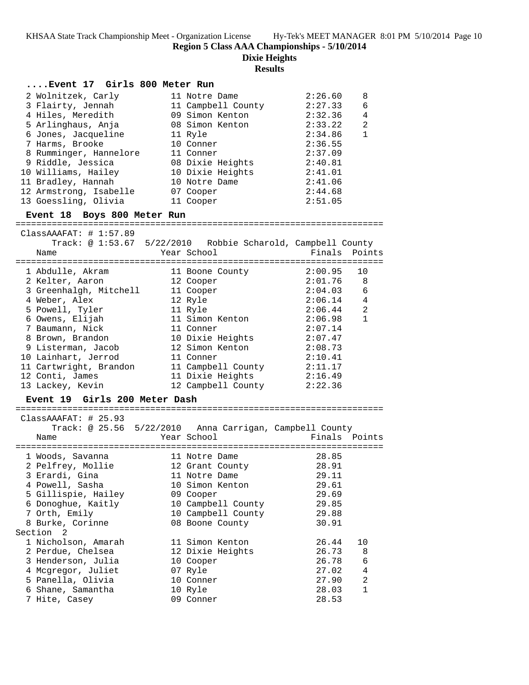**Region 5 Class AAA Championships - 5/10/2014**

**Dixie Heights**

| Event 17 Girls 800 Meter Run                                |                                     |               |                |
|-------------------------------------------------------------|-------------------------------------|---------------|----------------|
| 2 Wolnitzek, Carly                                          | 11 Notre Dame                       | 2:26.60       | 8              |
| 3 Flairty, Jennah                                           | 11 Campbell County                  | 2:27.33       | 6              |
| 4 Hiles, Meredith                                           | 09 Simon Kenton                     | 2:32.36       | $\overline{4}$ |
| 5 Arlinghaus, Anja                                          | 08 Simon Kenton                     | 2:33.22       | $\overline{a}$ |
| 6 Jones, Jacqueline                                         | 11 Ryle                             | 2:34.86       | $\mathbf{1}$   |
| 7 Harms, Brooke                                             | 10 Conner                           | 2:36.55       |                |
| 8 Rumminger, Hannelore 11 Conner                            |                                     | 2:37.09       |                |
|                                                             |                                     |               |                |
| 9 Riddle, Jessica                                           | 08 Dixie Heights                    | 2:40.81       |                |
| 10 Williams, Hailey                                         | 10 Dixie Heights                    | 2:41.01       |                |
| 11 Bradley, Hannah                                          | 10 Notre Dame                       | 2:41.06       |                |
| 12 Armstrong, Isabelle                                      | 07 Cooper                           | 2:44.68       |                |
| 13 Goessling, Olivia                                        | 11 Cooper                           | 2:51.05       |                |
| Event 18 Boys 800 Meter Run                                 |                                     |               |                |
| ClassAAAFAT:  # 1:57.89                                     |                                     |               |                |
| Track: @ 1:53.67 5/22/2010 Robbie Scharold, Campbell County |                                     |               |                |
| Name                                                        | Year School                         | Finals        | Points         |
|                                                             |                                     |               |                |
| 1 Abdulle, Akram                                            | 11 Boone County                     | 2:00.95       | 10             |
| 2 Kelter, Aaron                                             | 12 Cooper                           | 2:01.76       | 8              |
| 3 Greenhalgh, Mitchell                                      | 11 Cooper                           | 2:04.03       | 6              |
| 4 Weber, Alex                                               | 12 Ryle                             | 2:06.14       | 4              |
| 5 Powell, Tyler                                             | 11 Ryle                             | 2:06.44       | 2              |
| 6 Owens, Elijah                                             | 11 Simon Kenton                     | 2:06.98       | $\mathbf{1}$   |
| 7 Baumann, Nick                                             | 11 Conner                           | 2:07.14       |                |
| 8 Brown, Brandon                                            |                                     | 2:07.47       |                |
| 9 Listerman, Jacob                                          | 10 Dixie Heights<br>12 Simon Kenton | 2:08.73       |                |
| 10 Lainhart, Jerrod                                         | 11 Conner                           | 2:10.41       |                |
|                                                             | 11 Campbell County 2:11.17          |               |                |
| 11 Cartwright, Brandon                                      |                                     | 2:16.49       |                |
| 12 Conti, James                                             | 11 Dixie Heights                    |               |                |
| 13 Lackey, Kevin                                            | 12 Campbell County 2:22.36          |               |                |
| Event 19 Girls 200 Meter Dash                               |                                     |               |                |
|                                                             |                                     |               |                |
| ClassAAAFAT: # 25.93                                        |                                     |               |                |
| Track: @ 25.56 5/22/2010 Anna Carrigan, Campbell County     |                                     |               |                |
| Name                                                        | Year School                         | Finals Points |                |
| 1 Woods, Savanna                                            | 11 Notre Dame                       | 28.85         |                |
| 2 Pelfrey, Mollie 12 Grant County                           |                                     | 28.91         |                |
| 3 Erardi, Gina                                              |                                     |               |                |
|                                                             | 11 Notre Dame                       | 29.11         |                |
| 4 Powell, Sasha                                             | 10 Simon Kenton                     | 29.61         |                |
| 5 Gillispie, Hailey                                         | 09 Cooper                           | 29.69         |                |
| 6 Donoghue, Kaitly                                          | 10 Campbell County                  | 29.85         |                |
| 7 Orth, Emily                                               | 10 Campbell County                  | 29.88         |                |
| 8 Burke, Corinne                                            | 08 Boone County                     | 30.91         |                |
| Section<br>2                                                |                                     |               |                |
| 1 Nicholson, Amarah                                         | 11 Simon Kenton                     | 26.44         | 10             |
| 2 Perdue, Chelsea                                           | 12 Dixie Heights                    | 26.73         | 8              |
| 3 Henderson, Julia                                          | 10 Cooper                           | 26.78         | 6              |
| 4 Mcgregor, Juliet                                          | 07 Ryle                             | 27.02         | 4              |
| 5 Panella, Olivia                                           | 10 Conner                           | 27.90         | 2              |
| 6 Shane, Samantha                                           | 10 Ryle                             | 28.03         | 1              |
| 7 Hite, Casey                                               | 09 Conner                           | 28.53         |                |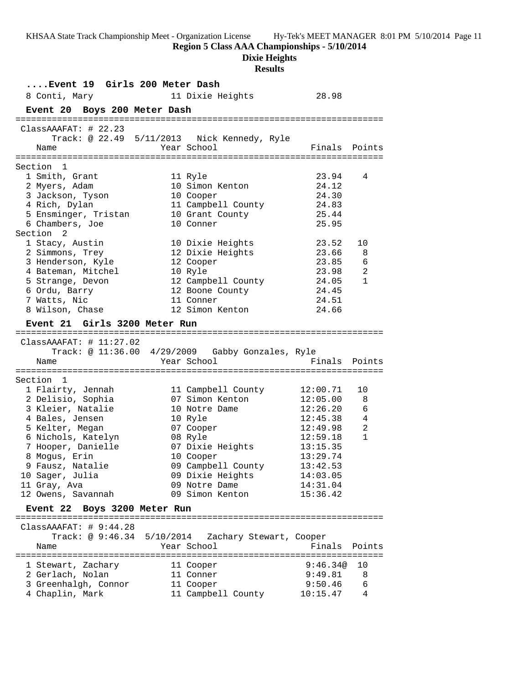**Region 5 Class AAA Championships - 5/10/2014**

**Dixie Heights**

| Event 19 Girls 200 Meter Dash               |             |                                                  |               |                |
|---------------------------------------------|-------------|--------------------------------------------------|---------------|----------------|
| 8 Conti, Mary                               |             | 11 Dixie Heights                                 | 28.98         |                |
| Event 20 Boys 200 Meter Dash                |             |                                                  |               |                |
| ClassAAAFAT:  # 22.23                       |             |                                                  |               |                |
|                                             |             | Track: @ 22.49 5/11/2013 Nick Kennedy, Ryle      |               |                |
| Name                                        | Year School |                                                  | Finals Points |                |
|                                             |             |                                                  |               |                |
| Section 1                                   |             |                                                  |               |                |
| 1 Smith, Grant                              | 11 Ryle     |                                                  | 23.94         | 4              |
| 2 Myers, Adam                               |             | 10 Simon Kenton                                  | 24.12         |                |
| 3 Jackson, Tyson                            |             | 10 Cooper                                        | 24.30         |                |
| 4 Rich, Dylan                               |             | 11 Campbell County                               | 24.83         |                |
| 5 Ensminger, Tristan                        |             | 10 Grant County                                  | 25.44         |                |
| 6 Chambers, Joe                             |             | 10 Conner                                        | 25.95         |                |
| Section<br>2                                |             |                                                  |               |                |
| 1 Stacy, Austin                             |             | 10 Dixie Heights                                 | 23.52         | 10             |
| 2 Simmons, Trey                             |             | 12 Dixie Heights                                 | 23.66         | 8              |
| 3 Henderson, Kyle                           |             | 12 Cooper                                        | 23.85         | 6              |
| 4 Bateman, Mitchel                          | 10 Ryle     |                                                  | 23.98         | 2              |
| 5 Strange, Devon                            |             | 12 Campbell County                               | 24.05         | $\mathbf{1}$   |
| 6 Ordu, Barry                               |             | 12 Boone County                                  | 24.45         |                |
| 7 Watts, Nic                                |             | 11 Conner                                        | 24.51         |                |
| 8 Wilson, Chase                             |             | 12 Simon Kenton                                  | 24.66         |                |
|                                             |             |                                                  |               |                |
| Event 21 Girls 3200 Meter Run               |             |                                                  |               |                |
|                                             |             |                                                  |               |                |
| ClassAAAFAT: # 11:27.02                     |             | Track: @ 11:36.00 4/29/2009 Gabby Gonzales, Ryle |               |                |
|                                             | Year School |                                                  | Finals        | Points         |
| Name                                        |             |                                                  |               |                |
| Section 1                                   |             |                                                  |               |                |
| 1 Flairty, Jennah                           |             | 11 Campbell County                               | 12:00.71      | 10             |
| 2 Delisio, Sophia                           |             | 07 Simon Kenton                                  | 12:05.00      | 8              |
| 3 Kleier, Natalie                           |             | 10 Notre Dame                                    | 12:26.20      | 6              |
| 4 Bales, Jensen                             | 10 Ryle     |                                                  | 12:45.38      | $\overline{4}$ |
| 5 Kelter, Megan                             |             | 07 Cooper                                        | 12:49.98      | 2              |
| 6 Nichols, Katelyn                          | 08 Ryle     |                                                  | 12:59.18      | $\mathbf{1}$   |
| 7 Hooper, Danielle                          |             | 07 Dixie Heights                                 | 13:15.35      |                |
| 8 Mogus, Erin                               |             | 10 Cooper                                        | 13:29.74      |                |
| 9 Fausz, Natalie                            |             | 09 Campbell County                               | 13:42.53      |                |
| 10 Sager, Julia                             |             | 09 Dixie Heights                                 | 14:03.05      |                |
| 11 Gray, Ava                                |             | 09 Notre Dame                                    | 14:31.04      |                |
| 12 Owens, Savannah                          |             | 09 Simon Kenton                                  | 15:36.42      |                |
|                                             |             |                                                  |               |                |
| Event 22 Boys 3200 Meter Run                |             |                                                  |               |                |
|                                             |             |                                                  |               |                |
| ClassAAAFAT:  # 9:44.28<br>Track: @ 9:46.34 |             |                                                  |               |                |
|                                             |             | 5/10/2014 Zachary Stewart, Cooper                |               |                |
| Name                                        | Year School |                                                  | Finals        | Points         |
| 1 Stewart, Zachary                          |             | 11 Cooper                                        | 9:46.34@      | 10             |
| 2 Gerlach, Nolan                            |             | 11 Conner                                        | 9:49.81       | 8              |
| 3 Greenhalgh, Connor                        |             | 11 Cooper                                        | 9:50.46       | 6              |
| 4 Chaplin, Mark                             |             | 11 Campbell County                               | 10:15.47      | 4              |
|                                             |             |                                                  |               |                |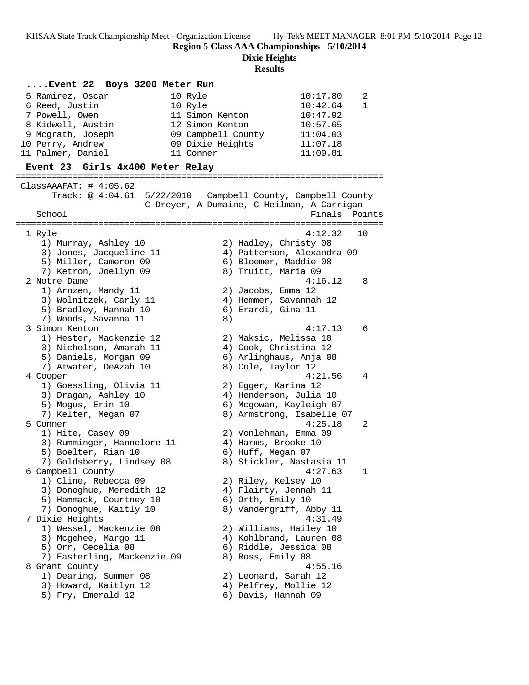**Region 5 Class AAA Championships - 5/10/2014**

**Dixie Heights**

| Event 22 Boys 3200 Meter Run                            |                                                                |
|---------------------------------------------------------|----------------------------------------------------------------|
| 10 Ryle<br>5 Ramirez, Oscar                             | 10:17.80<br>2                                                  |
| 10 Ryle<br>6 Reed, Justin                               | 10:42.64<br>1                                                  |
| 7 Powell, Owen                                          | 11 Simon Kenton<br>10:47.92                                    |
| 8 Kidwell, Austin                                       | 12 Simon Kenton<br>10:57.65                                    |
| 9 Mcgrath, Joseph                                       | 09 Campbell County<br>11:04.03                                 |
| 10 Perry, Andrew                                        | 09 Dixie Heights<br>11:07.18                                   |
| 11 Palmer, Daniel<br>11 Conner                          | 11:09.81                                                       |
| Event 23 Girls 4x400 Meter Relay                        |                                                                |
|                                                         |                                                                |
| ClassAAAFAT: $\#$ 4:05.62<br>Track: @ 4:04.61 5/22/2010 |                                                                |
|                                                         | Campbell County, Campbell County                               |
| School                                                  | C Dreyer, A Dumaine, C Heilman, A Carrigan<br>Finals<br>Points |
|                                                         |                                                                |
|                                                         | 4:12.32<br>10                                                  |
| 1 Ryle<br>1) Murray, Ashley 10                          |                                                                |
| 3) Jones, Jacqueline 11                                 | 2) Hadley, Christy 08<br>4) Patterson, Alexandra 09            |
| 5) Miller, Cameron 09                                   | 6) Bloemer, Maddie 08                                          |
| 7) Ketron, Joellyn 09                                   | 8) Truitt, Maria 09                                            |
| 2 Notre Dame                                            | 4:16.12<br>8                                                   |
| 1) Arnzen, Mandy 11                                     | 2) Jacobs, Emma 12                                             |
| 3) Wolnitzek, Carly 11                                  | 4) Hemmer, Savannah 12                                         |
| 5) Bradley, Hannah 10                                   | 6) Erardi, Gina 11                                             |
| 7) Woods, Savanna 11                                    | 8)                                                             |
| 3 Simon Kenton                                          | 4:17.13<br>6                                                   |
| 1) Hester, Mackenzie 12                                 | 2) Maksic, Melissa 10                                          |
| 3) Nicholson, Amarah 11                                 | 4) Cook, Christina 12                                          |
| 5) Daniels, Morgan 09                                   | 6) Arlinghaus, Anja 08                                         |
| 7) Atwater, DeAzah 10                                   | 8) Cole, Taylor 12                                             |
| 4 Cooper                                                | 4:21.56<br>4                                                   |
| 1) Goessling, Olivia 11                                 | 2) Egger, Karina 12                                            |
| 3) Dragan, Ashley 10                                    | 4) Henderson, Julia 10                                         |
| 5) Mogus, Erin 10                                       | 6) Mcgowan, Kayleigh 07                                        |
| 7) Kelter, Megan 07                                     | 8) Armstrong, Isabelle 07                                      |
| 5 Conner                                                | 4:25.18<br>2                                                   |
| 1) Hite, Casey 09                                       | 2) Vonlehman, Emma 09                                          |
| 3) Rumminger, Hannelore 11                              | 4) Harms, Brooke 10                                            |
| 5) Boelter, Rian 10                                     | 6) Huff, Megan 07                                              |
| 7) Goldsberry, Lindsey 08                               | 8) Stickler, Nastasia 11                                       |
| 6 Campbell County                                       | 4:27.63<br>1                                                   |
| 1) Cline, Rebecca 09                                    | 2) Riley, Kelsey 10                                            |
| 3) Donoghue, Meredith 12                                | 4) Flairty, Jennah 11                                          |
| 5) Hammack, Courtney 10                                 | 6) Orth, Emily 10                                              |
| 7) Donoghue, Kaitly 10                                  | 8) Vandergriff, Abby 11                                        |
| 7 Dixie Heights                                         | 4:31.49                                                        |
| 1) Wessel, Mackenzie 08                                 | 2) Williams, Hailey 10                                         |
| 3) Mcgehee, Margo 11                                    | 4) Kohlbrand, Lauren 08                                        |
| 5) Orr, Cecelia 08                                      | 6) Riddle, Jessica 08                                          |
| 7) Easterling, Mackenzie 09                             | 8) Ross, Emily 08                                              |
| 8 Grant County                                          | 4:55.16                                                        |
| 1) Dearing, Summer 08                                   | 2) Leonard, Sarah 12                                           |
| 3) Howard, Kaitlyn 12                                   | 4) Pelfrey, Mollie 12                                          |
| 5) Fry, Emerald 12                                      | 6) Davis, Hannah 09                                            |
|                                                         |                                                                |